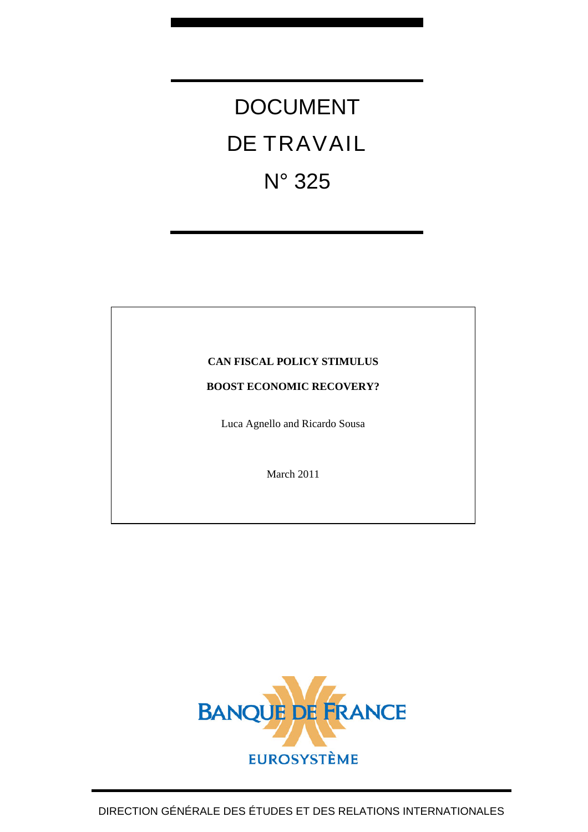# DOCUMENT DE TRAVAIL N° 325

## **CAN FISCAL POLICY STIMULUS**

## **BOOST ECONOMIC RECOVERY?**

Luca Agnello and Ricardo Sousa

March 2011

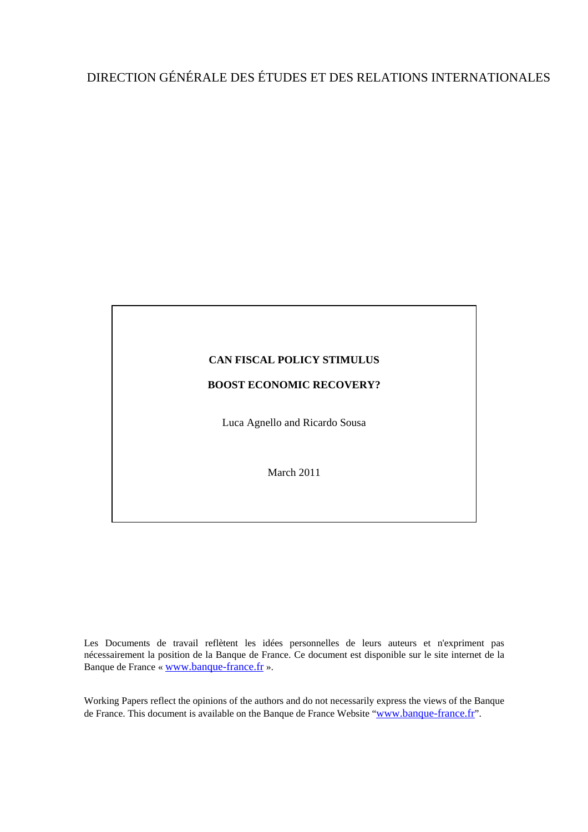## DIRECTION GÉNÉRALE DES ÉTUDES ET DES RELATIONS INTERNATIONALES

### **CAN FISCAL POLICY STIMULUS**

## **BOOST ECONOMIC RECOVERY?**

Luca Agnello and Ricardo Sousa

March 2011

Les Documents de travail reflètent les idées personnelles de leurs auteurs et n'expriment pas nécessairement la position de la Banque de France. Ce document est disponible sur le site internet de la Banque de France « [www.banque-france.fr](http://www.banque-france.fr/) ».

Working Papers reflect the opinions of the authors and do not necessarily express the views of the Banque de France. This document is available on the Banque de France Website "[www.banque-france.fr](http://www.banque-france.fr/)".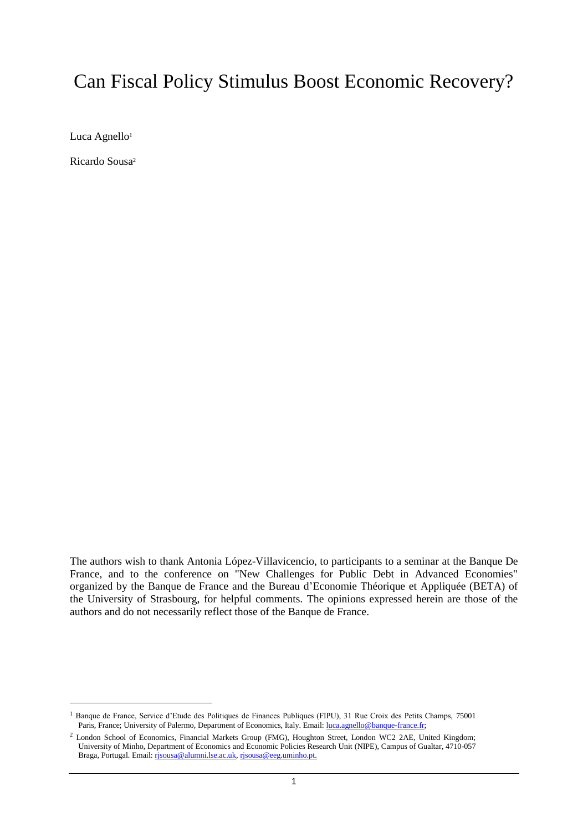## Can Fiscal Policy Stimulus Boost Economic Recovery?

Luca Agnello<sup>1</sup>

Ricardo Sousa<sup>2</sup>

-

The authors wish to thank Antonia López-Villavicencio, to participants to a seminar at the Banque De France, and to the conference on "New Challenges for Public Debt in Advanced Economies" organized by the Banque de France and the Bureau d'Economie Théorique et Appliquée (BETA) of the University of Strasbourg, for helpful comments. The opinions expressed herein are those of the authors and do not necessarily reflect those of the Banque de France.

<sup>&</sup>lt;sup>1</sup> Banque de France, Service d'Etude des Politiques de Finances Publiques (FIPU), 31 Rue Croix des Petits Champs, 75001 Paris, France; University of Palermo, Department of Economics, Italy. Email: [luca.agnello@banque-france.fr;](mailto:luca.agnello@banque-france.fr)

<sup>&</sup>lt;sup>2</sup> London School of Economics, Financial Markets Group (FMG), Houghton Street, London WC2 2AE, United Kingdom; University of Minho, Department of Economics and Economic Policies Research Unit (NIPE), Campus of Gualtar, 4710-057 Braga, Portugal. Email: rjsousa@alumni.lse.ac.uk, rjsousa@eeg.uminho.pt.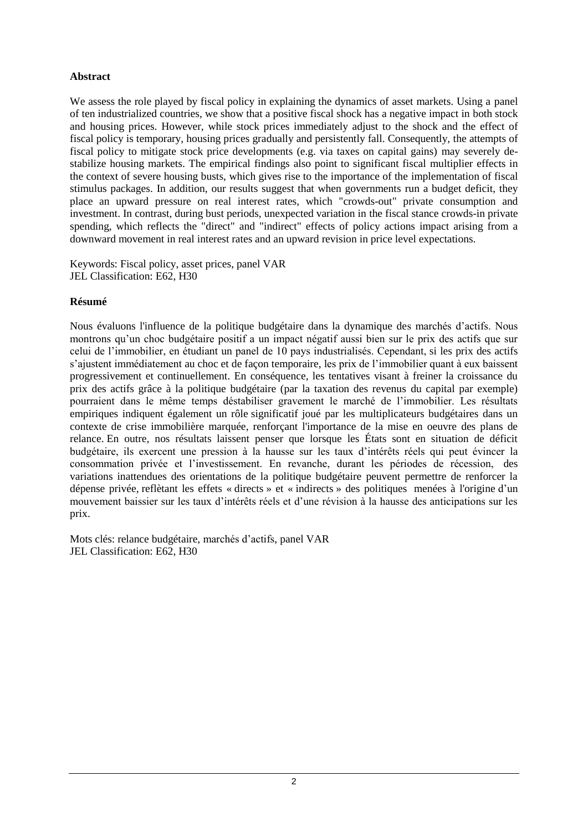## **Abstract**

We assess the role played by fiscal policy in explaining the dynamics of asset markets. Using a panel of ten industrialized countries, we show that a positive fiscal shock has a negative impact in both stock and housing prices. However, while stock prices immediately adjust to the shock and the effect of fiscal policy is temporary, housing prices gradually and persistently fall. Consequently, the attempts of fiscal policy to mitigate stock price developments (e.g. via taxes on capital gains) may severely destabilize housing markets. The empirical findings also point to significant fiscal multiplier effects in the context of severe housing busts, which gives rise to the importance of the implementation of fiscal stimulus packages. In addition, our results suggest that when governments run a budget deficit, they place an upward pressure on real interest rates, which "crowds-out" private consumption and investment. In contrast, during bust periods, unexpected variation in the fiscal stance crowds-in private spending, which reflects the "direct" and "indirect" effects of policy actions impact arising from a downward movement in real interest rates and an upward revision in price level expectations.

Keywords: Fiscal policy, asset prices, panel VAR JEL Classification: E62, H30

## **Résumé**

Nous évaluons l'influence de la politique budgétaire dans la dynamique des marchés d'actifs. Nous montrons qu'un choc budgétaire positif a un impact négatif aussi bien sur le prix des actifs que sur celui de l'immobilier, en étudiant un panel de 10 pays industrialisés. Cependant, si les prix des actifs s'ajustent immédiatement au choc et de façon temporaire, les prix de l'immobilier quant à eux baissent progressivement et continuellement. En conséquence, les tentatives visant à freiner la croissance du prix des actifs grâce à la politique budgétaire (par la taxation des revenus du capital par exemple) pourraient dans le même temps déstabiliser gravement le marché de l'immobilier. Les résultats empiriques indiquent également un rôle significatif joué par les multiplicateurs budgétaires dans un contexte de crise immobilière marquée, renforçant l'importance de la mise en oeuvre des plans de relance. En outre, nos résultats laissent penser que lorsque les États sont en situation de déficit budgétaire, ils exercent une pression à la hausse sur les taux d'intérêts réels qui peut évincer la consommation privée et l'investissement. En revanche, durant les périodes de récession, des variations inattendues des orientations de la politique budgétaire peuvent permettre de renforcer la dépense privée, reflètant les effets « directs » et « indirects » des politiques menées à l'origine d'un mouvement baissier sur les taux d'intérêts réels et d'une révision à la hausse des anticipations sur les prix.

Mots clés: relance budgétaire, marchés d'actifs, panel VAR JEL Classification: E62, H30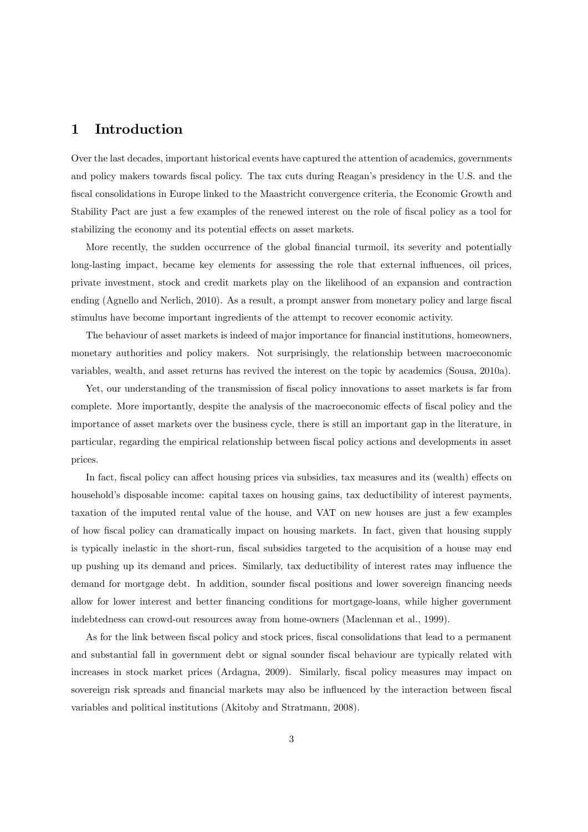## 1 Introduction

Over the last decades, important historical events have captured the attention of academics, governments and policy makers towards fiscal policy. The tax cuts during Reagan's presidency in the U.S. and the fiscal consolidations in Europe linked to the Maastricht convergence criteria, the Economic Growth and Stability Pact are just a few examples of the renewed interest on the role of fiscal policy as a tool for stabilizing the economy and its potential effects on asset markets.

More recently, the sudden occurrence of the global financial turmoil, its severity and potentially long-lasting impact, became key elements for assessing the role that external influences, oil prices, private investment, stock and credit markets play on the likelihood of an expansion and contraction ending (Agnello and Nerlich, 2010). As a result, a prompt answer from monetary policy and large fiscal stimulus have become important ingredients of the attempt to recover economic activity.

The behaviour of asset markets is indeed of major importance for financial institutions, homeowners, monetary authorities and policy makers. Not surprisingly, the relationship between macroeconomic variables, wealth, and asset returns has revived the interest on the topic by academics (Sousa, 2010a).

Yet, our understanding of the transmission of fiscal policy innovations to asset markets is far from complete. More importantly, despite the analysis of the macroeconomic effects of fiscal policy and the importance of asset markets over the business cycle, there is still an important gap in the literature, in particular, regarding the empirical relationship between fiscal policy actions and developments in asset prices.

In fact, fiscal policy can affect housing prices via subsidies, tax measures and its (wealth) effects on household's disposable income: capital taxes on housing gains, tax deductibility of interest payments, taxation of the imputed rental value of the house, and VAT on new houses are just a few examples of how Öscal policy can dramatically impact on housing markets. In fact, given that housing supply is typically inelastic in the short-run, fiscal subsidies targeted to the acquisition of a house may end up pushing up its demand and prices. Similarly, tax deductibility of interest rates may ináuence the demand for mortgage debt. In addition, sounder fiscal positions and lower sovereign financing needs allow for lower interest and better Önancing conditions for mortgage-loans, while higher government indebtedness can crowd-out resources away from home-owners (Maclennan et al., 1999).

As for the link between fiscal policy and stock prices, fiscal consolidations that lead to a permanent and substantial fall in government debt or signal sounder fiscal behaviour are typically related with increases in stock market prices (Ardagna, 2009). Similarly, fiscal policy measures may impact on sovereign risk spreads and financial markets may also be influenced by the interaction between fiscal variables and political institutions (Akitoby and Stratmann, 2008).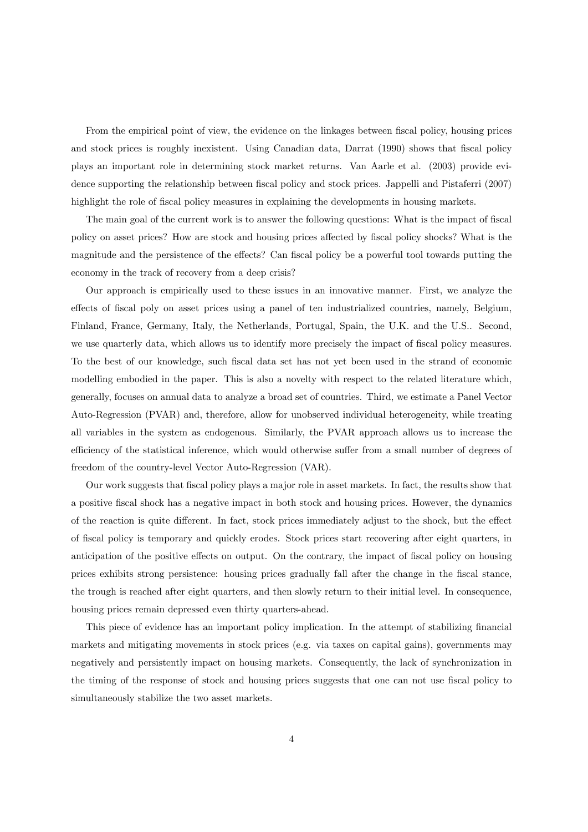From the empirical point of view, the evidence on the linkages between fiscal policy, housing prices and stock prices is roughly inexistent. Using Canadian data, Darrat (1990) shows that fiscal policy plays an important role in determining stock market returns. Van Aarle et al. (2003) provide evidence supporting the relationship between fiscal policy and stock prices. Jappelli and Pistaferri (2007) highlight the role of fiscal policy measures in explaining the developments in housing markets.

The main goal of the current work is to answer the following questions: What is the impact of fiscal policy on asset prices? How are stock and housing prices affected by fiscal policy shocks? What is the magnitude and the persistence of the effects? Can fiscal policy be a powerful tool towards putting the economy in the track of recovery from a deep crisis?

Our approach is empirically used to these issues in an innovative manner. First, we analyze the effects of fiscal poly on asset prices using a panel of ten industrialized countries, namely, Belgium, Finland, France, Germany, Italy, the Netherlands, Portugal, Spain, the U.K. and the U.S.. Second, we use quarterly data, which allows us to identify more precisely the impact of fiscal policy measures. To the best of our knowledge, such fiscal data set has not yet been used in the strand of economic modelling embodied in the paper. This is also a novelty with respect to the related literature which, generally, focuses on annual data to analyze a broad set of countries. Third, we estimate a Panel Vector Auto-Regression (PVAR) and, therefore, allow for unobserved individual heterogeneity, while treating all variables in the system as endogenous. Similarly, the PVAR approach allows us to increase the efficiency of the statistical inference, which would otherwise suffer from a small number of degrees of freedom of the country-level Vector Auto-Regression (VAR).

Our work suggests that Öscal policy plays a major role in asset markets. In fact, the results show that a positive Öscal shock has a negative impact in both stock and housing prices. However, the dynamics of the reaction is quite different. In fact, stock prices immediately adjust to the shock, but the effect of Öscal policy is temporary and quickly erodes. Stock prices start recovering after eight quarters, in anticipation of the positive effects on output. On the contrary, the impact of fiscal policy on housing prices exhibits strong persistence: housing prices gradually fall after the change in the fiscal stance, the trough is reached after eight quarters, and then slowly return to their initial level. In consequence, housing prices remain depressed even thirty quarters-ahead.

This piece of evidence has an important policy implication. In the attempt of stabilizing financial markets and mitigating movements in stock prices (e.g. via taxes on capital gains), governments may negatively and persistently impact on housing markets. Consequently, the lack of synchronization in the timing of the response of stock and housing prices suggests that one can not use fiscal policy to simultaneously stabilize the two asset markets.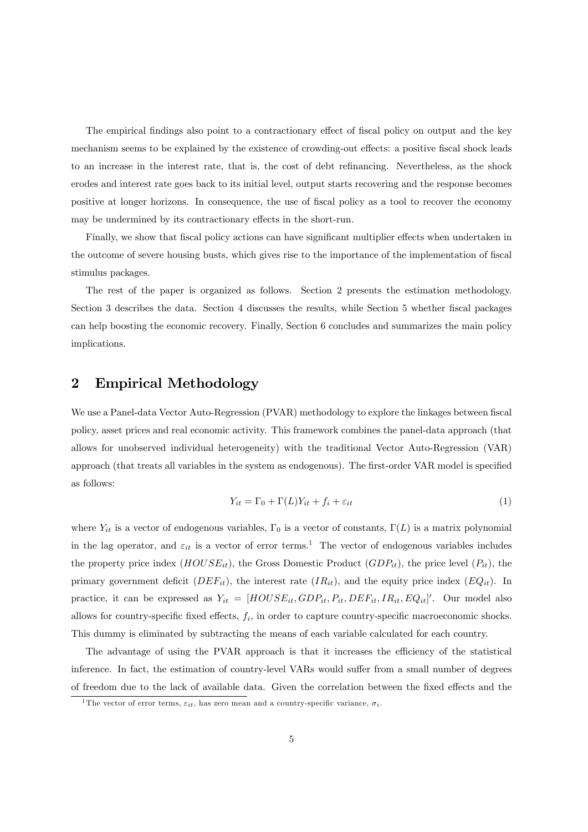The empirical findings also point to a contractionary effect of fiscal policy on output and the key mechanism seems to be explained by the existence of crowding-out effects: a positive fiscal shock leads to an increase in the interest rate, that is, the cost of debt refinancing. Nevertheless, as the shock erodes and interest rate goes back to its initial level, output starts recovering and the response becomes positive at longer horizons. In consequence, the use of Öscal policy as a tool to recover the economy may be undermined by its contractionary effects in the short-run.

Finally, we show that fiscal policy actions can have significant multiplier effects when undertaken in the outcome of severe housing busts, which gives rise to the importance of the implementation of fiscal stimulus packages.

The rest of the paper is organized as follows. Section 2 presents the estimation methodology. Section 3 describes the data. Section 4 discusses the results, while Section 5 whether fiscal packages can help boosting the economic recovery. Finally, Section 6 concludes and summarizes the main policy implications.

## 2 Empirical Methodology

We use a Panel-data Vector Auto-Regression (PVAR) methodology to explore the linkages between fiscal policy, asset prices and real economic activity. This framework combines the panel-data approach (that allows for unobserved individual heterogeneity) with the traditional Vector Auto-Regression (VAR) approach (that treats all variables in the system as endogenous). The first-order VAR model is specified as follows:

$$
Y_{it} = \Gamma_0 + \Gamma(L)Y_{it} + f_i + \varepsilon_{it} \tag{1}
$$

where  $Y_{it}$  is a vector of endogenous variables,  $\Gamma_0$  is a vector of constants,  $\Gamma(L)$  is a matrix polynomial in the lag operator, and  $\varepsilon_{it}$  is a vector of error terms.<sup>1</sup> The vector of endogenous variables includes the property price index  $(HOUSE_{it})$ , the Gross Domestic Product  $(GDP_{it})$ , the price level  $(P_{it})$ , the primary government deficit ( $DEF<sub>it</sub>$ ), the interest rate ( $IR<sub>it</sub>$ ), and the equity price index ( $EQ<sub>it</sub>$ ). In practice, it can be expressed as  $Y_{it} = [HOUSE_{it}, GDP_{it}, P_{it}, DEF_{it}, IR_{it}, EQ_{it}]'$ . Our model also allows for country-specific fixed effects,  $f_i$ , in order to capture country-specific macroeconomic shocks. This dummy is eliminated by subtracting the means of each variable calculated for each country.

The advantage of using the PVAR approach is that it increases the efficiency of the statistical inference. In fact, the estimation of country-level VARs would suffer from a small number of degrees of freedom due to the lack of available data. Given the correlation between the fixed effects and the

<sup>&</sup>lt;sup>1</sup>The vector of error terms,  $\varepsilon_{it}$ , has zero mean and a country-specific variance,  $\sigma_i$ .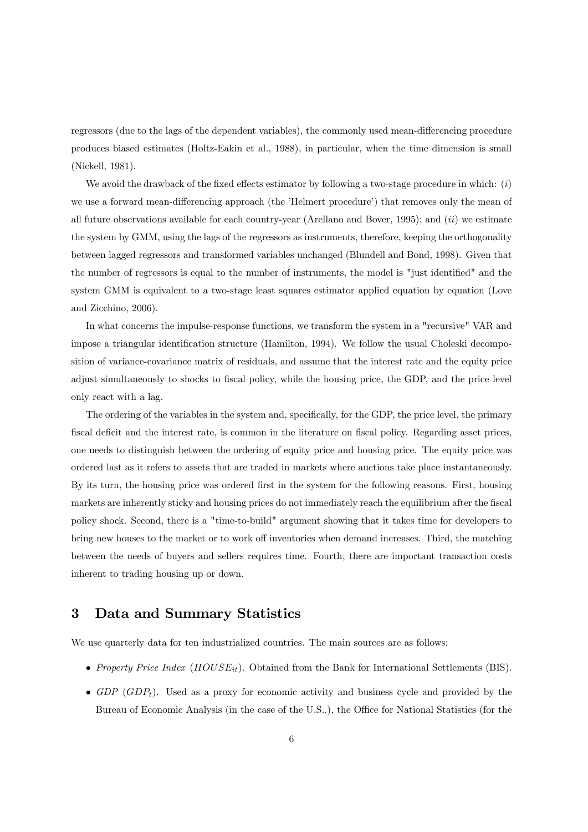regressors (due to the lags of the dependent variables), the commonly used mean-differencing procedure produces biased estimates (Holtz-Eakin et al., 1988), in particular, when the time dimension is small (Nickell, 1981).

We avoid the drawback of the fixed effects estimator by following a two-stage procedure in which:  $(i)$ we use a forward mean-differencing approach (the 'Helmert procedure') that removes only the mean of all future observations available for each country-year (Arellano and Bover, 1995); and  $(ii)$  we estimate the system by GMM, using the lags of the regressors as instruments, therefore, keeping the orthogonality between lagged regressors and transformed variables unchanged (Blundell and Bond, 1998). Given that the number of regressors is equal to the number of instruments, the model is "just identified" and the system GMM is equivalent to a two-stage least squares estimator applied equation by equation (Love and Zicchino, 2006).

In what concerns the impulse-response functions, we transform the system in a "recursive" VAR and impose a triangular identification structure (Hamilton, 1994). We follow the usual Choleski decomposition of variance-covariance matrix of residuals, and assume that the interest rate and the equity price adjust simultaneously to shocks to fiscal policy, while the housing price, the GDP, and the price level only react with a lag.

The ordering of the variables in the system and, specifically, for the GDP, the price level, the primary fiscal deficit and the interest rate, is common in the literature on fiscal policy. Regarding asset prices, one needs to distinguish between the ordering of equity price and housing price. The equity price was ordered last as it refers to assets that are traded in markets where auctions take place instantaneously. By its turn, the housing price was ordered Örst in the system for the following reasons. First, housing markets are inherently sticky and housing prices do not immediately reach the equilibrium after the fiscal policy shock. Second, there is a "time-to-build" argument showing that it takes time for developers to bring new houses to the market or to work off inventories when demand increases. Third, the matching between the needs of buyers and sellers requires time. Fourth, there are important transaction costs inherent to trading housing up or down.

## 3 Data and Summary Statistics

We use quarterly data for ten industrialized countries. The main sources are as follows:

- Property Price Index  $(HOUSE_{it})$ . Obtained from the Bank for International Settlements (BIS).
- GDP  $(GDP_t)$ . Used as a proxy for economic activity and business cycle and provided by the Bureau of Economic Analysis (in the case of the U.S.), the Office for National Statistics (for the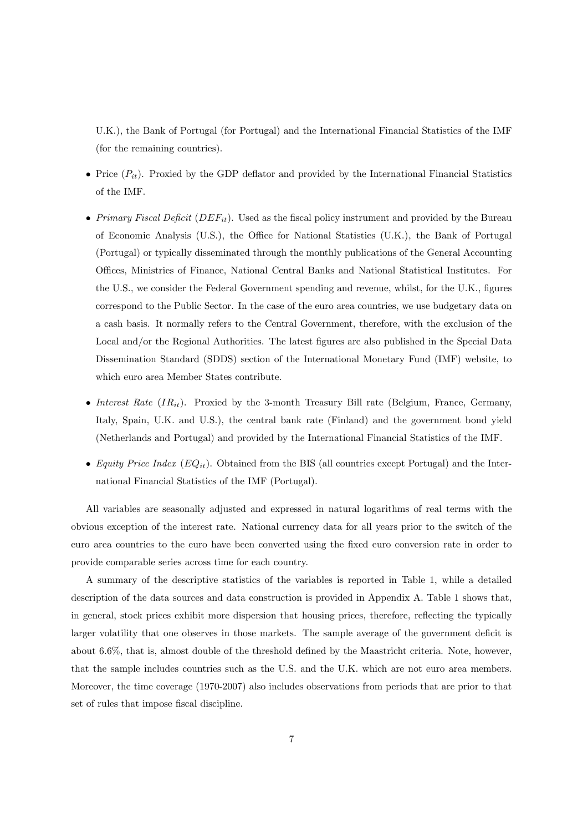U.K.), the Bank of Portugal (for Portugal) and the International Financial Statistics of the IMF (for the remaining countries).

- Price  $(P_{it})$ . Proxied by the GDP deflator and provided by the International Financial Statistics of the IMF.
- Primary Fiscal Deficit ( $DEF<sub>it</sub>$ ). Used as the fiscal policy instrument and provided by the Bureau of Economic Analysis (U.S.), the Office for National Statistics (U.K.), the Bank of Portugal (Portugal) or typically disseminated through the monthly publications of the General Accounting Offices, Ministries of Finance, National Central Banks and National Statistical Institutes. For the U.S., we consider the Federal Government spending and revenue, whilst, for the U.K., figures correspond to the Public Sector. In the case of the euro area countries, we use budgetary data on a cash basis. It normally refers to the Central Government, therefore, with the exclusion of the Local and/or the Regional Authorities. The latest figures are also published in the Special Data Dissemination Standard (SDDS) section of the International Monetary Fund (IMF) website, to which euro area Member States contribute.
- Interest Rate  $(IR_{it})$ . Proxied by the 3-month Treasury Bill rate (Belgium, France, Germany, Italy, Spain, U.K. and U.S.), the central bank rate (Finland) and the government bond yield (Netherlands and Portugal) and provided by the International Financial Statistics of the IMF.
- Equity Price Index  $(EQ_{it})$ . Obtained from the BIS (all countries except Portugal) and the International Financial Statistics of the IMF (Portugal).

All variables are seasonally adjusted and expressed in natural logarithms of real terms with the obvious exception of the interest rate. National currency data for all years prior to the switch of the euro area countries to the euro have been converted using the Öxed euro conversion rate in order to provide comparable series across time for each country.

A summary of the descriptive statistics of the variables is reported in Table 1, while a detailed description of the data sources and data construction is provided in Appendix A. Table 1 shows that, in general, stock prices exhibit more dispersion that housing prices, therefore, reflecting the typically larger volatility that one observes in those markets. The sample average of the government deficit is about 6.6%, that is, almost double of the threshold defined by the Maastricht criteria. Note, however, that the sample includes countries such as the U.S. and the U.K. which are not euro area members. Moreover, the time coverage (1970-2007) also includes observations from periods that are prior to that set of rules that impose fiscal discipline.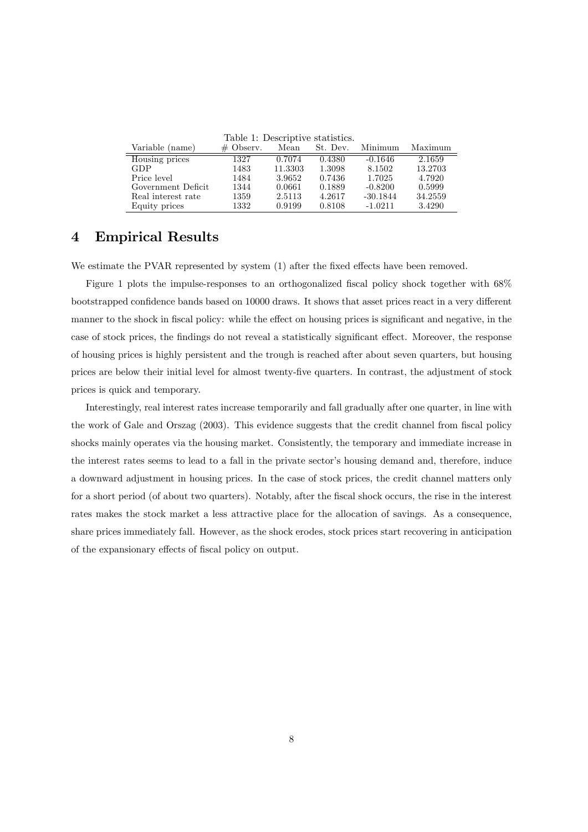| Variable (name)    | $\#$ Observ. | Mean    | Table 1: Descriptive statistics.<br>St. Dev. | Minimum    | Maximum |
|--------------------|--------------|---------|----------------------------------------------|------------|---------|
| Housing prices     | 1327         | 0.7074  | 0.4380                                       | $-0.1646$  | 2.1659  |
| GDP                | 1483         | 11.3303 | 1.3098                                       | 8.1502     | 13.2703 |
| Price level        | 1484         | 3.9652  | 0.7436                                       | 1.7025     | 4.7920  |
| Government Deficit | 1344         | 0.0661  | 0.1889                                       | $-0.8200$  | 0.5999  |
| Real interest rate | 1359         | 2.5113  | 4.2617                                       | $-30.1844$ | 34.2559 |
| Equity prices      | 1332         | 0.9199  | 0.8108                                       | $-1.0211$  | 3.4290  |

Table 1: Descriptive statistics.

## 4 Empirical Results

We estimate the PVAR represented by system  $(1)$  after the fixed effects have been removed.

Figure 1 plots the impulse-responses to an orthogonalized fiscal policy shock together with 68% bootstrapped confidence bands based on 10000 draws. It shows that asset prices react in a very different manner to the shock in fiscal policy: while the effect on housing prices is significant and negative, in the case of stock prices, the findings do not reveal a statistically significant effect. Moreover, the response of housing prices is highly persistent and the trough is reached after about seven quarters, but housing prices are below their initial level for almost twenty-Öve quarters. In contrast, the adjustment of stock prices is quick and temporary.

Interestingly, real interest rates increase temporarily and fall gradually after one quarter, in line with the work of Gale and Orszag (2003). This evidence suggests that the credit channel from fiscal policy shocks mainly operates via the housing market. Consistently, the temporary and immediate increase in the interest rates seems to lead to a fall in the private sector's housing demand and, therefore, induce a downward adjustment in housing prices. In the case of stock prices, the credit channel matters only for a short period (of about two quarters). Notably, after the fiscal shock occurs, the rise in the interest rates makes the stock market a less attractive place for the allocation of savings. As a consequence, share prices immediately fall. However, as the shock erodes, stock prices start recovering in anticipation of the expansionary effects of fiscal policy on output.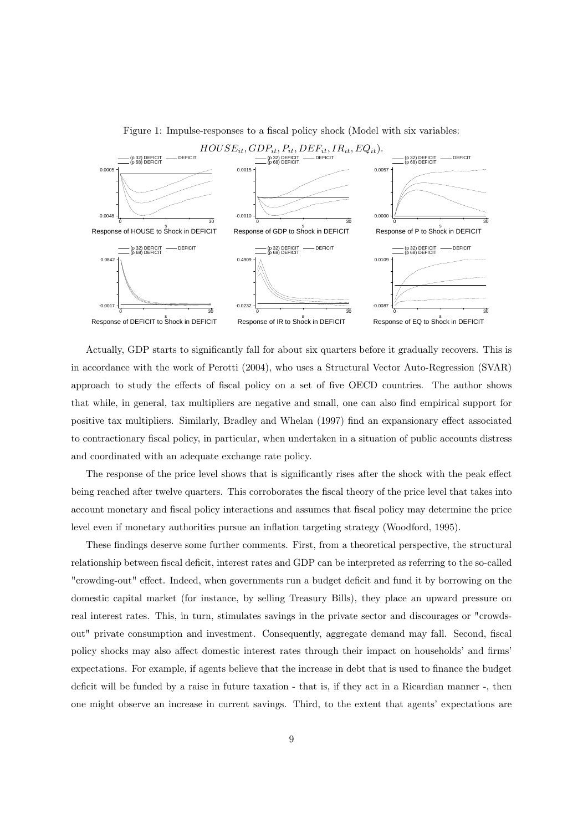

Figure 1: Impulse-responses to a fiscal policy shock (Model with six variables:

Actually, GDP starts to significantly fall for about six quarters before it gradually recovers. This is in accordance with the work of Perotti (2004), who uses a Structural Vector Auto-Regression (SVAR) approach to study the effects of fiscal policy on a set of five OECD countries. The author shows that while, in general, tax multipliers are negative and small, one can also find empirical support for positive tax multipliers. Similarly, Bradley and Whelan (1997) find an expansionary effect associated to contractionary Öscal policy, in particular, when undertaken in a situation of public accounts distress and coordinated with an adequate exchange rate policy.

The response of the price level shows that is significantly rises after the shock with the peak effect being reached after twelve quarters. This corroborates the fiscal theory of the price level that takes into account monetary and fiscal policy interactions and assumes that fiscal policy may determine the price level even if monetary authorities pursue an ináation targeting strategy (Woodford, 1995).

These findings deserve some further comments. First, from a theoretical perspective, the structural relationship between fiscal deficit, interest rates and GDP can be interpreted as referring to the so-called "crowding-out" effect. Indeed, when governments run a budget deficit and fund it by borrowing on the domestic capital market (for instance, by selling Treasury Bills), they place an upward pressure on real interest rates. This, in turn, stimulates savings in the private sector and discourages or "crowdsout" private consumption and investment. Consequently, aggregate demand may fall. Second, fiscal policy shocks may also affect domestic interest rates through their impact on households' and firms' expectations. For example, if agents believe that the increase in debt that is used to finance the budget deficit will be funded by a raise in future taxation - that is, if they act in a Ricardian manner -, then one might observe an increase in current savings. Third, to the extent that agentsí expectations are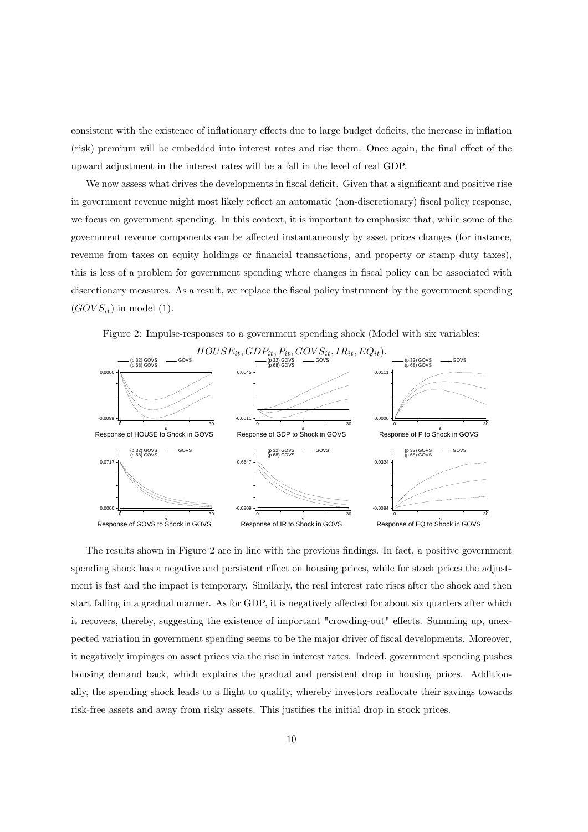consistent with the existence of inflationary effects due to large budget deficits, the increase in inflation (risk) premium will be embedded into interest rates and rise them. Once again, the final effect of the upward adjustment in the interest rates will be a fall in the level of real GDP.

We now assess what drives the developments in fiscal deficit. Given that a significant and positive rise in government revenue might most likely reflect an automatic (non-discretionary) fiscal policy response, we focus on government spending. In this context, it is important to emphasize that, while some of the government revenue components can be affected instantaneously by asset prices changes (for instance, revenue from taxes on equity holdings or financial transactions, and property or stamp duty taxes), this is less of a problem for government spending where changes in fiscal policy can be associated with discretionary measures. As a result, we replace the fiscal policy instrument by the government spending  $(GOV S_{it})$  in model (1).

Figure 2: Impulse-responses to a government spending shock (Model with six variables:



The results shown in Figure 2 are in line with the previous findings. In fact, a positive government spending shock has a negative and persistent effect on housing prices, while for stock prices the adjustment is fast and the impact is temporary. Similarly, the real interest rate rises after the shock and then start falling in a gradual manner. As for GDP, it is negatively affected for about six quarters after which it recovers, thereby, suggesting the existence of important "crowding-out" effects. Summing up, unexpected variation in government spending seems to be the major driver of fiscal developments. Moreover, it negatively impinges on asset prices via the rise in interest rates. Indeed, government spending pushes housing demand back, which explains the gradual and persistent drop in housing prices. Additionally, the spending shock leads to a áight to quality, whereby investors reallocate their savings towards risk-free assets and away from risky assets. This justifies the initial drop in stock prices.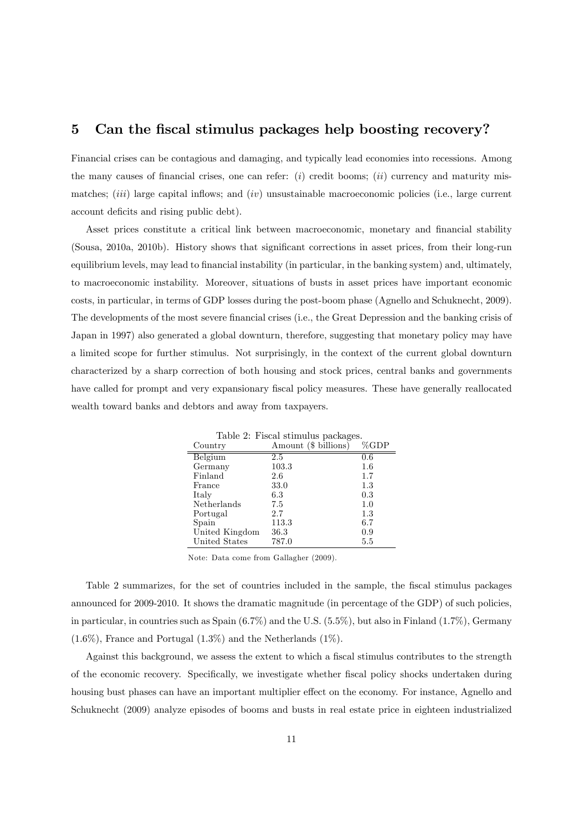## 5 Can the fiscal stimulus packages help boosting recovery?

Financial crises can be contagious and damaging, and typically lead economies into recessions. Among the many causes of financial crises, one can refer:  $(i)$  credit booms;  $(ii)$  currency and maturity mismatches;  $(iii)$  large capital inflows; and  $(iv)$  unsustainable macroeconomic policies (i.e., large current account deficits and rising public debt).

Asset prices constitute a critical link between macroeconomic, monetary and financial stability (Sousa, 2010a, 2010b). History shows that significant corrections in asset prices, from their long-run equilibrium levels, may lead to financial instability (in particular, in the banking system) and, ultimately, to macroeconomic instability. Moreover, situations of busts in asset prices have important economic costs, in particular, in terms of GDP losses during the post-boom phase (Agnello and Schuknecht, 2009). The developments of the most severe financial crises (i.e., the Great Depression and the banking crisis of Japan in 1997) also generated a global downturn, therefore, suggesting that monetary policy may have a limited scope for further stimulus. Not surprisingly, in the context of the current global downturn characterized by a sharp correction of both housing and stock prices, central banks and governments have called for prompt and very expansionary fiscal policy measures. These have generally reallocated wealth toward banks and debtors and away from taxpayers.

| тарке 2. т всаг запишать раскадся. |                      |         |  |  |  |
|------------------------------------|----------------------|---------|--|--|--|
| Country                            | Amount (\$ billions) | %GDP    |  |  |  |
| Belgium                            | 2.5                  | 0.6     |  |  |  |
| Germany                            | 103.3                | $1.6\,$ |  |  |  |
| Finland                            | $2.6\,$              | 1.7     |  |  |  |
| France                             | 33.0                 | $1.3\,$ |  |  |  |
| Italy                              | 6.3                  | 0.3     |  |  |  |
| Netherlands                        | 7.5                  | 1.0     |  |  |  |
| Portugal                           | 2.7                  | $1.3\,$ |  |  |  |
| Spain                              | 113.3                | 6.7     |  |  |  |
| United Kingdom                     | 36.3                 | 0.9     |  |  |  |
| United States                      | 787.0                | 5.5     |  |  |  |

Table 2: Fiscal stimulus packages.

Note: Data come from Gallagher (2009).

Table 2 summarizes, for the set of countries included in the sample, the fiscal stimulus packages announced for 2009-2010. It shows the dramatic magnitude (in percentage of the GDP) of such policies, in particular, in countries such as Spain  $(6.7\%)$  and the U.S.  $(5.5\%)$ , but also in Finland  $(1.7\%)$ , Germany  $(1.6\%)$ , France and Portugal  $(1.3\%)$  and the Netherlands  $(1\%)$ .

Against this background, we assess the extent to which a fiscal stimulus contributes to the strength of the economic recovery. Specifically, we investigate whether fiscal policy shocks undertaken during housing bust phases can have an important multiplier effect on the economy. For instance, Agnello and Schuknecht (2009) analyze episodes of booms and busts in real estate price in eighteen industrialized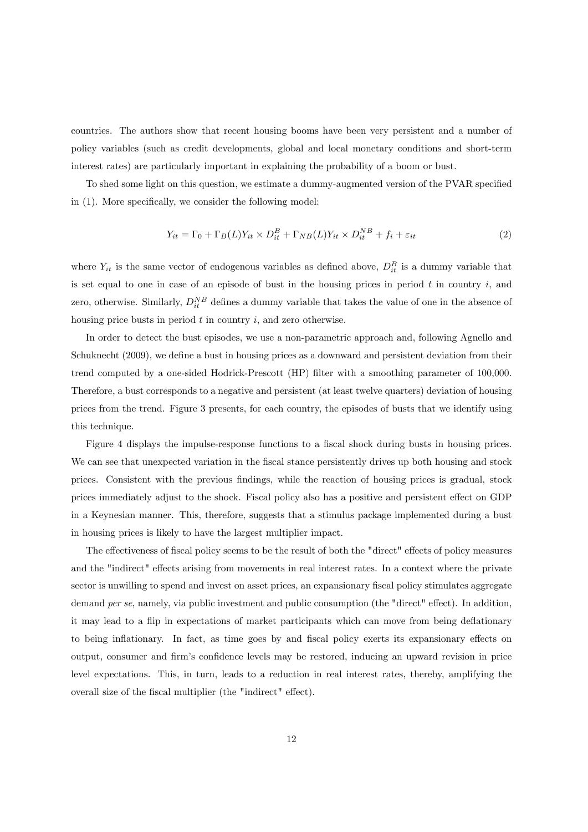countries. The authors show that recent housing booms have been very persistent and a number of policy variables (such as credit developments, global and local monetary conditions and short-term interest rates) are particularly important in explaining the probability of a boom or bust.

To shed some light on this question, we estimate a dummy-augmented version of the PVAR specified in  $(1)$ . More specifically, we consider the following model:

$$
Y_{it} = \Gamma_0 + \Gamma_B(L)Y_{it} \times D_{it}^B + \Gamma_{NB}(L)Y_{it} \times D_{it}^{NB} + f_i + \varepsilon_{it}
$$
\n<sup>(2)</sup>

where  $Y_{it}$  is the same vector of endogenous variables as defined above,  $D_{it}^{B}$  is a dummy variable that is set equal to one in case of an episode of bust in the housing prices in period  $t$  in country  $i$ , and zero, otherwise. Similarly,  $D_{it}^{NB}$  defines a dummy variable that takes the value of one in the absence of housing price busts in period  $t$  in country  $i$ , and zero otherwise.

In order to detect the bust episodes, we use a non-parametric approach and, following Agnello and Schuknecht (2009), we define a bust in housing prices as a downward and persistent deviation from their trend computed by a one-sided Hodrick-Prescott (HP) filter with a smoothing parameter of 100,000. Therefore, a bust corresponds to a negative and persistent (at least twelve quarters) deviation of housing prices from the trend. Figure 3 presents, for each country, the episodes of busts that we identify using this technique.

Figure 4 displays the impulse-response functions to a fiscal shock during busts in housing prices. We can see that unexpected variation in the fiscal stance persistently drives up both housing and stock prices. Consistent with the previous findings, while the reaction of housing prices is gradual, stock prices immediately adjust to the shock. Fiscal policy also has a positive and persistent effect on GDP in a Keynesian manner. This, therefore, suggests that a stimulus package implemented during a bust in housing prices is likely to have the largest multiplier impact.

The effectiveness of fiscal policy seems to be the result of both the "direct" effects of policy measures and the "indirect" effects arising from movements in real interest rates. In a context where the private sector is unwilling to spend and invest on asset prices, an expansionary fiscal policy stimulates aggregate demand per se, namely, via public investment and public consumption (the "direct" effect). In addition, it may lead to a flip in expectations of market participants which can move from being deflationary to being inflationary. In fact, as time goes by and fiscal policy exerts its expansionary effects on output, consumer and firm's confidence levels may be restored, inducing an upward revision in price level expectations. This, in turn, leads to a reduction in real interest rates, thereby, amplifying the overall size of the fiscal multiplier (the "indirect" effect).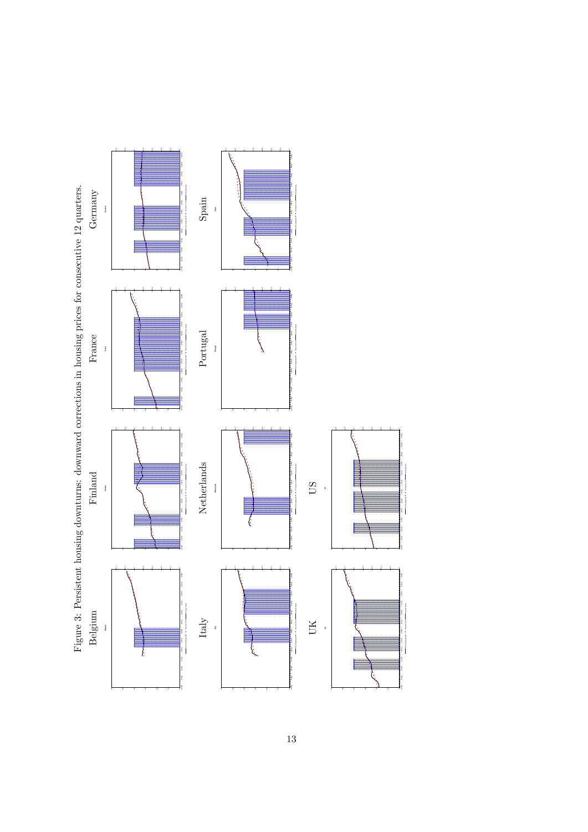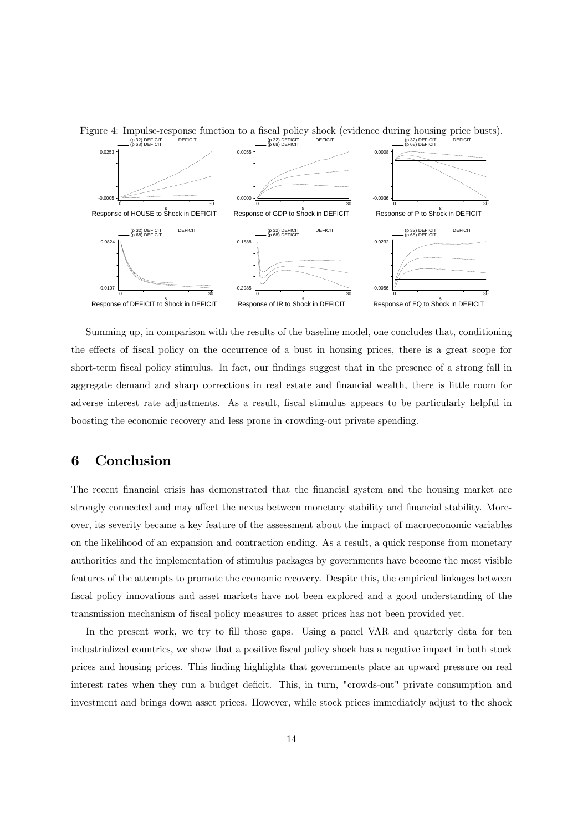

Summing up, in comparison with the results of the baseline model, one concludes that, conditioning the effects of fiscal policy on the occurrence of a bust in housing prices, there is a great scope for short-term fiscal policy stimulus. In fact, our findings suggest that in the presence of a strong fall in aggregate demand and sharp corrections in real estate and financial wealth, there is little room for adverse interest rate adjustments. As a result, fiscal stimulus appears to be particularly helpful in boosting the economic recovery and less prone in crowding-out private spending.

## 6 Conclusion

The recent financial crisis has demonstrated that the financial system and the housing market are strongly connected and may affect the nexus between monetary stability and financial stability. Moreover, its severity became a key feature of the assessment about the impact of macroeconomic variables on the likelihood of an expansion and contraction ending. As a result, a quick response from monetary authorities and the implementation of stimulus packages by governments have become the most visible features of the attempts to promote the economic recovery. Despite this, the empirical linkages between fiscal policy innovations and asset markets have not been explored and a good understanding of the transmission mechanism of fiscal policy measures to asset prices has not been provided yet.

In the present work, we try to fill those gaps. Using a panel VAR and quarterly data for ten industrialized countries, we show that a positive fiscal policy shock has a negative impact in both stock prices and housing prices. This Önding highlights that governments place an upward pressure on real interest rates when they run a budget deficit. This, in turn, "crowds-out" private consumption and investment and brings down asset prices. However, while stock prices immediately adjust to the shock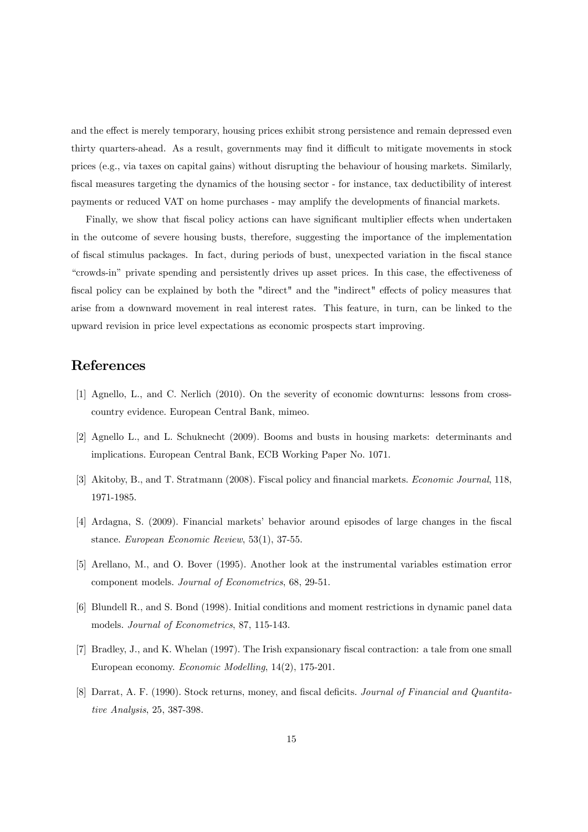and the effect is merely temporary, housing prices exhibit strong persistence and remain depressed even thirty quarters-ahead. As a result, governments may find it difficult to mitigate movements in stock prices (e.g., via taxes on capital gains) without disrupting the behaviour of housing markets. Similarly, fiscal measures targeting the dynamics of the housing sector - for instance, tax deductibility of interest payments or reduced VAT on home purchases - may amplify the developments of financial markets.

Finally, we show that fiscal policy actions can have significant multiplier effects when undertaken in the outcome of severe housing busts, therefore, suggesting the importance of the implementation of Öscal stimulus packages. In fact, during periods of bust, unexpected variation in the Öscal stance ìcrowds-inî private spending and persistently drives up asset prices. In this case, the e§ectiveness of fiscal policy can be explained by both the "direct" and the "indirect" effects of policy measures that arise from a downward movement in real interest rates. This feature, in turn, can be linked to the upward revision in price level expectations as economic prospects start improving.

## References

- [1] Agnello, L., and C. Nerlich (2010). On the severity of economic downturns: lessons from crosscountry evidence. European Central Bank, mimeo.
- [2] Agnello L., and L. Schuknecht (2009). Booms and busts in housing markets: determinants and implications. European Central Bank, ECB Working Paper No. 1071.
- [3] Akitoby, B., and T. Stratmann (2008). Fiscal policy and financial markets. *Economic Journal*, 118, 1971-1985.
- [4] Ardagna, S. (2009). Financial markets' behavior around episodes of large changes in the fiscal stance. European Economic Review, 53(1), 37-55.
- [5] Arellano, M., and O. Bover (1995). Another look at the instrumental variables estimation error component models. Journal of Econometrics, 68, 29-51.
- [6] Blundell R., and S. Bond (1998). Initial conditions and moment restrictions in dynamic panel data models. Journal of Econometrics, 87, 115-143.
- [7] Bradley, J., and K. Whelan (1997). The Irish expansionary fiscal contraction: a tale from one small European economy. Economic Modelling, 14(2), 175-201.
- [8] Darrat, A. F. (1990). Stock returns, money, and fiscal deficits. Journal of Financial and Quantitative Analysis, 25, 387-398.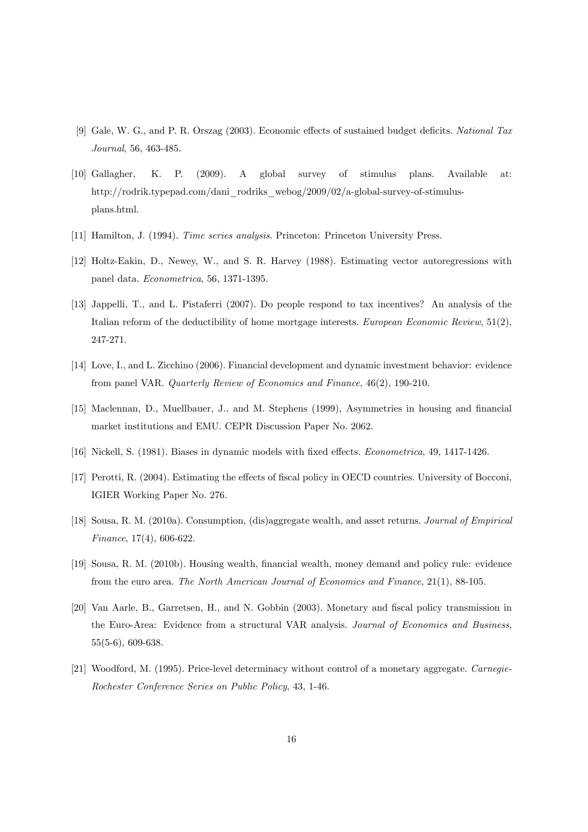- [9] Gale, W. G., and P. R. Orszag (2003). Economic effects of sustained budget deficits. National Tax Journal, 56, 463-485.
- [10] Gallagher, K. P. (2009). A global survey of stimulus plans. Available at: http://rodrik.typepad.com/dani\_rodriks\_webog/2009/02/a-global-survey-of-stimulusplans.html.
- [11] Hamilton, J. (1994). Time series analysis. Princeton: Princeton University Press.
- [12] Holtz-Eakin, D., Newey, W., and S. R. Harvey (1988). Estimating vector autoregressions with panel data. Econometrica, 56, 1371-1395.
- [13] Jappelli, T., and L. Pistaferri (2007). Do people respond to tax incentives? An analysis of the Italian reform of the deductibility of home mortgage interests. European Economic Review, 51(2), 247-271.
- [14] Love, I., and L. Zicchino (2006). Financial development and dynamic investment behavior: evidence from panel VAR. Quarterly Review of Economics and Finance, 46(2), 190-210.
- [15] Maclennan, D., Muellbauer, J., and M. Stephens (1999), Asymmetries in housing and financial market institutions and EMU. CEPR Discussion Paper No. 2062.
- [16] Nickell, S. (1981). Biases in dynamic models with fixed effects. *Econometrica*, 49, 1417-1426.
- [17] Perotti, R. (2004). Estimating the effects of fiscal policy in OECD countries. University of Bocconi, IGIER Working Paper No. 276.
- [18] Sousa, R. M. (2010a). Consumption, (dis)aggregate wealth, and asset returns. Journal of Empirical Finance, 17(4), 606-622.
- [19] Sousa, R. M. (2010b). Housing wealth, Önancial wealth, money demand and policy rule: evidence from the euro area. The North American Journal of Economics and Finance, 21(1), 88-105.
- [20] Van Aarle, B., Garretsen, H., and N. Gobbin (2003). Monetary and fiscal policy transmission in the Euro-Area: Evidence from a structural VAR analysis. Journal of Economics and Business, 55(5-6), 609-638.
- [21] Woodford, M. (1995). Price-level determinacy without control of a monetary aggregate. Carnegie-Rochester Conference Series on Public Policy, 43, 1-46.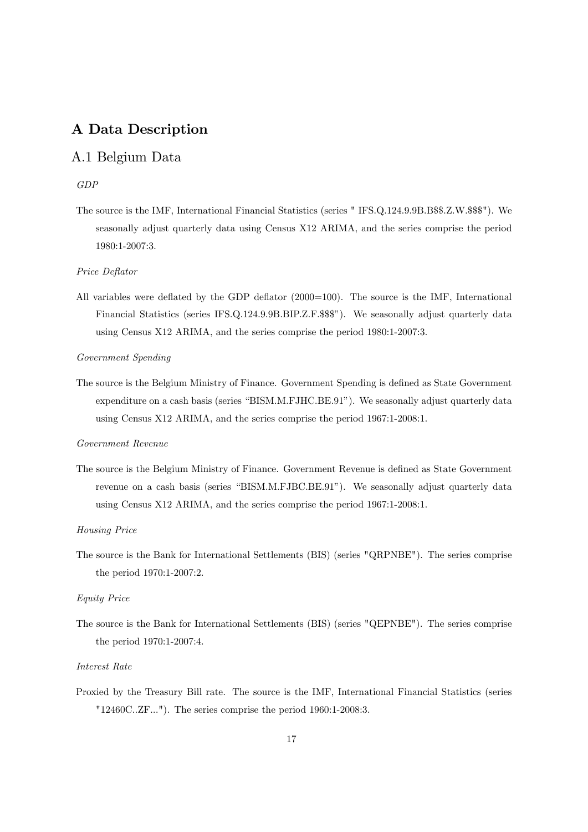## A Data Description

## A.1 Belgium Data

#### GDP

The source is the IMF, International Financial Statistics (series " IFS.Q.124.9.9B.B\$\$.Z.W.\$\$\$"). We seasonally adjust quarterly data using Census X12 ARIMA, and the series comprise the period 1980:1-2007:3.

#### Price Deflator

All variables were deflated by the GDP deflator  $(2000=100)$ . The source is the IMF, International Financial Statistics (series IFS.Q.124.9.9B.BIP.Z.F.\$\$\$"). We seasonally adjust quarterly data using Census X12 ARIMA, and the series comprise the period 1980:1-2007:3.

#### Government Spending

The source is the Belgium Ministry of Finance. Government Spending is defined as State Government expenditure on a cash basis (series "BISM.M.FJHC.BE.91"). We seasonally adjust quarterly data using Census X12 ARIMA, and the series comprise the period 1967:1-2008:1.

#### Government Revenue

The source is the Belgium Ministry of Finance. Government Revenue is defined as State Government revenue on a cash basis (series "BISM.M.FJBC.BE.91"). We seasonally adjust quarterly data using Census X12 ARIMA, and the series comprise the period 1967:1-2008:1.

#### Housing Price

The source is the Bank for International Settlements (BIS) (series "QRPNBE"). The series comprise the period 1970:1-2007:2.

#### Equity Price

The source is the Bank for International Settlements (BIS) (series "QEPNBE"). The series comprise the period 1970:1-2007:4.

#### Interest Rate

Proxied by the Treasury Bill rate. The source is the IMF, International Financial Statistics (series "12460C..ZF..."). The series comprise the period 1960:1-2008:3.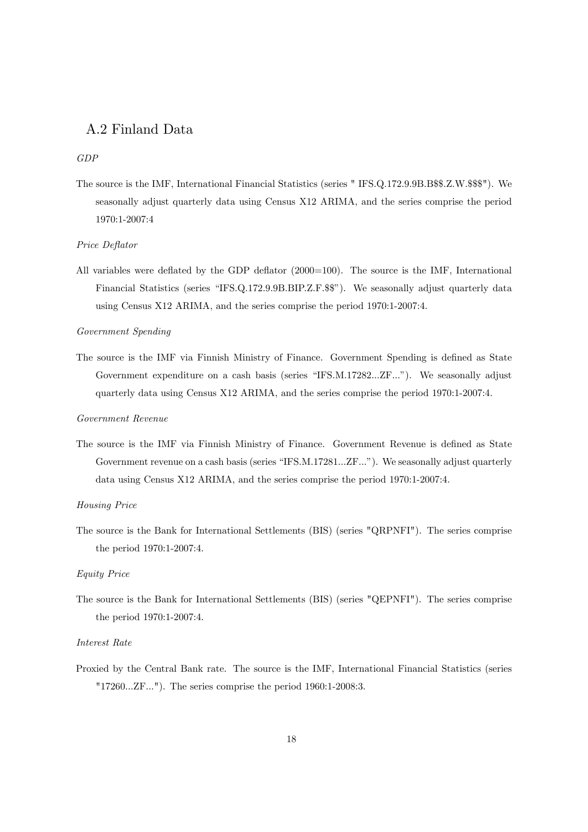## A.2 Finland Data

#### GDP

The source is the IMF, International Financial Statistics (series " IFS.Q.172.9.9B.B\$\$.Z.W.\$\$\$"). We seasonally adjust quarterly data using Census X12 ARIMA, and the series comprise the period 1970:1-2007:4

#### Price Deflator

All variables were deflated by the GDP deflator  $(2000=100)$ . The source is the IMF, International Financial Statistics (series "IFS.Q.172.9.9B.BIP.Z.F.\$\$"). We seasonally adjust quarterly data using Census X12 ARIMA, and the series comprise the period 1970:1-2007:4.

#### Government Spending

The source is the IMF via Finnish Ministry of Finance. Government Spending is defined as State Government expenditure on a cash basis (series "IFS.M.17282...ZF..."). We seasonally adjust quarterly data using Census X12 ARIMA, and the series comprise the period 1970:1-2007:4.

#### Government Revenue

The source is the IMF via Finnish Ministry of Finance. Government Revenue is defined as State Government revenue on a cash basis (series "IFS.M.17281...ZF..."). We seasonally adjust quarterly data using Census X12 ARIMA, and the series comprise the period 1970:1-2007:4.

#### Housing Price

The source is the Bank for International Settlements (BIS) (series "QRPNFI"). The series comprise the period 1970:1-2007:4.

#### Equity Price

The source is the Bank for International Settlements (BIS) (series "QEPNFI"). The series comprise the period 1970:1-2007:4.

#### Interest Rate

Proxied by the Central Bank rate. The source is the IMF, International Financial Statistics (series "17260...ZF..."). The series comprise the period 1960:1-2008:3.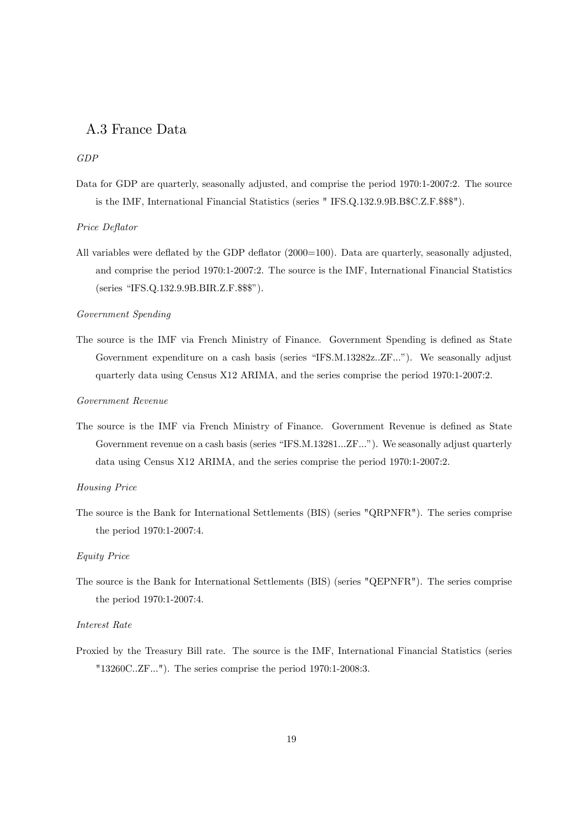## A.3 France Data

#### GDP

Data for GDP are quarterly, seasonally adjusted, and comprise the period 1970:1-2007:2. The source is the IMF, International Financial Statistics (series " IFS.Q.132.9.9B.B\$C.Z.F.\$\$\$").

#### Price Deflator

All variables were deflated by the GDP deflator (2000=100). Data are quarterly, seasonally adjusted, and comprise the period 1970:1-2007:2. The source is the IMF, International Financial Statistics  $(series$  "IFS.Q.132.9.9B.BIR.Z.F.\$\$\$").

#### Government Spending

The source is the IMF via French Ministry of Finance. Government Spending is defined as State Government expenditure on a cash basis (series "IFS.M.13282z..ZF..."). We seasonally adjust quarterly data using Census X12 ARIMA, and the series comprise the period 1970:1-2007:2.

#### Government Revenue

The source is the IMF via French Ministry of Finance. Government Revenue is defined as State Government revenue on a cash basis (series "IFS.M.13281...ZF..."). We seasonally adjust quarterly data using Census X12 ARIMA, and the series comprise the period 1970:1-2007:2.

#### Housing Price

The source is the Bank for International Settlements (BIS) (series "QRPNFR"). The series comprise the period 1970:1-2007:4.

#### Equity Price

The source is the Bank for International Settlements (BIS) (series "QEPNFR"). The series comprise the period 1970:1-2007:4.

#### Interest Rate

Proxied by the Treasury Bill rate. The source is the IMF, International Financial Statistics (series "13260C..ZF..."). The series comprise the period 1970:1-2008:3.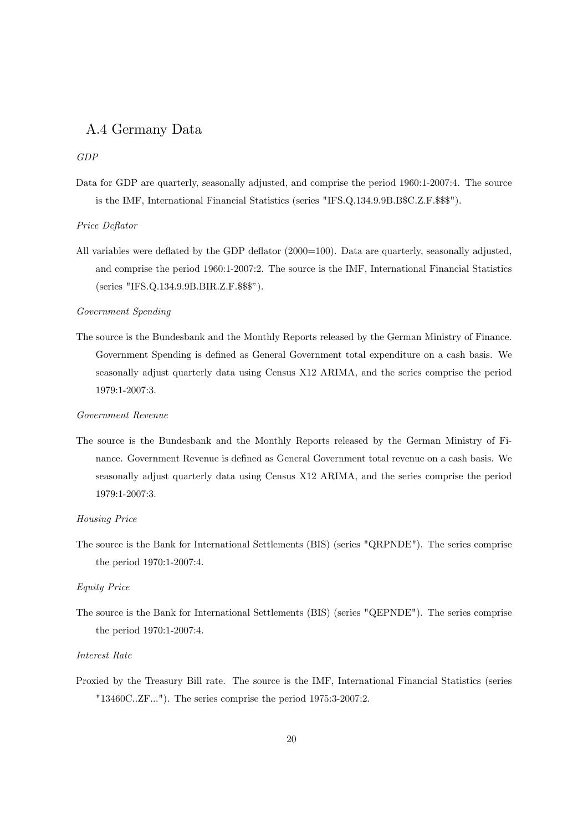## A.4 Germany Data

#### GDP

Data for GDP are quarterly, seasonally adjusted, and comprise the period 1960:1-2007:4. The source is the IMF, International Financial Statistics (series "IFS.Q.134.9.9B.B\$C.Z.F.\$\$\$").

#### Price Deflator

All variables were deflated by the GDP deflator  $(2000=100)$ . Data are quarterly, seasonally adjusted, and comprise the period 1960:1-2007:2. The source is the IMF, International Financial Statistics (series "IFS.Q.134.9.9B.BIR.Z.F.\$\$\$î).

#### Government Spending

The source is the Bundesbank and the Monthly Reports released by the German Ministry of Finance. Government Spending is defined as General Government total expenditure on a cash basis. We seasonally adjust quarterly data using Census X12 ARIMA, and the series comprise the period 1979:1-2007:3.

#### Government Revenue

The source is the Bundesbank and the Monthly Reports released by the German Ministry of Finance. Government Revenue is defined as General Government total revenue on a cash basis. We seasonally adjust quarterly data using Census X12 ARIMA, and the series comprise the period 1979:1-2007:3.

#### Housing Price

The source is the Bank for International Settlements (BIS) (series "QRPNDE"). The series comprise the period 1970:1-2007:4.

#### Equity Price

The source is the Bank for International Settlements (BIS) (series "QEPNDE"). The series comprise the period 1970:1-2007:4.

#### Interest Rate

Proxied by the Treasury Bill rate. The source is the IMF, International Financial Statistics (series "13460C..ZF..."). The series comprise the period 1975:3-2007:2.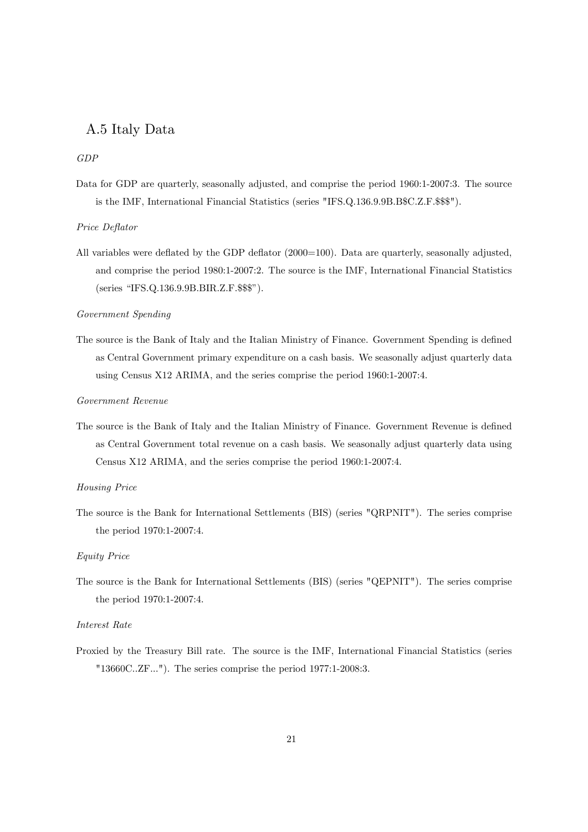## A.5 Italy Data

#### GDP

Data for GDP are quarterly, seasonally adjusted, and comprise the period 1960:1-2007:3. The source is the IMF, International Financial Statistics (series "IFS.Q.136.9.9B.B\$C.Z.F.\$\$\$").

#### Price Deflator

All variables were deflated by the GDP deflator (2000=100). Data are quarterly, seasonally adjusted, and comprise the period 1980:1-2007:2. The source is the IMF, International Financial Statistics  $(series$  "IFS.Q.136.9.9B.BIR.Z.F.\$\$\$").

#### Government Spending

The source is the Bank of Italy and the Italian Ministry of Finance. Government Spending is defined as Central Government primary expenditure on a cash basis. We seasonally adjust quarterly data using Census X12 ARIMA, and the series comprise the period 1960:1-2007:4.

#### Government Revenue

The source is the Bank of Italy and the Italian Ministry of Finance. Government Revenue is defined as Central Government total revenue on a cash basis. We seasonally adjust quarterly data using Census X12 ARIMA, and the series comprise the period 1960:1-2007:4.

#### Housing Price

The source is the Bank for International Settlements (BIS) (series "QRPNIT"). The series comprise the period 1970:1-2007:4.

#### Equity Price

The source is the Bank for International Settlements (BIS) (series "QEPNIT"). The series comprise the period 1970:1-2007:4.

#### Interest Rate

Proxied by the Treasury Bill rate. The source is the IMF, International Financial Statistics (series "13660C..ZF..."). The series comprise the period 1977:1-2008:3.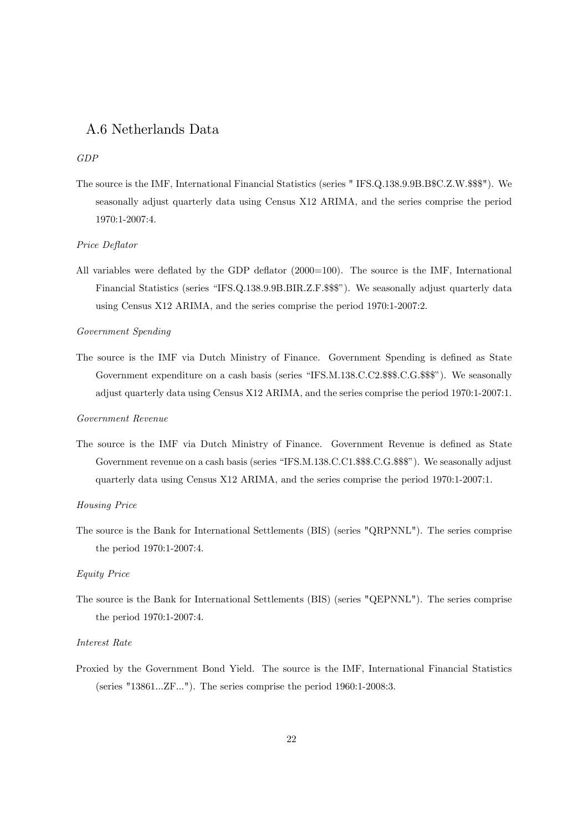## A.6 Netherlands Data

#### GDP

The source is the IMF, International Financial Statistics (series " IFS.Q.138.9.9B.B\$C.Z.W.\$\$\$"). We seasonally adjust quarterly data using Census X12 ARIMA, and the series comprise the period 1970:1-2007:4.

#### Price Deflator

All variables were deflated by the GDP deflator  $(2000=100)$ . The source is the IMF, International Financial Statistics (series "IFS.Q.138.9.9B.BIR.Z.F.\$\$\$"). We seasonally adjust quarterly data using Census X12 ARIMA, and the series comprise the period 1970:1-2007:2.

#### Government Spending

The source is the IMF via Dutch Ministry of Finance. Government Spending is defined as State Government expenditure on a cash basis (series "IFS.M.138.C.C2.\$\$\$.C.G.\$\$\$"). We seasonally adjust quarterly data using Census X12 ARIMA, and the series comprise the period 1970:1-2007:1.

#### Government Revenue

The source is the IMF via Dutch Ministry of Finance. Government Revenue is defined as State Government revenue on a cash basis (series "IFS.M.138.C.C1.\$\$\$.C.G.\$\$\$"). We seasonally adjust quarterly data using Census X12 ARIMA, and the series comprise the period 1970:1-2007:1.

#### Housing Price

The source is the Bank for International Settlements (BIS) (series "QRPNNL"). The series comprise the period 1970:1-2007:4.

#### Equity Price

The source is the Bank for International Settlements (BIS) (series "QEPNNL"). The series comprise the period 1970:1-2007:4.

#### Interest Rate

Proxied by the Government Bond Yield. The source is the IMF, International Financial Statistics (series "13861...ZF..."). The series comprise the period 1960:1-2008:3.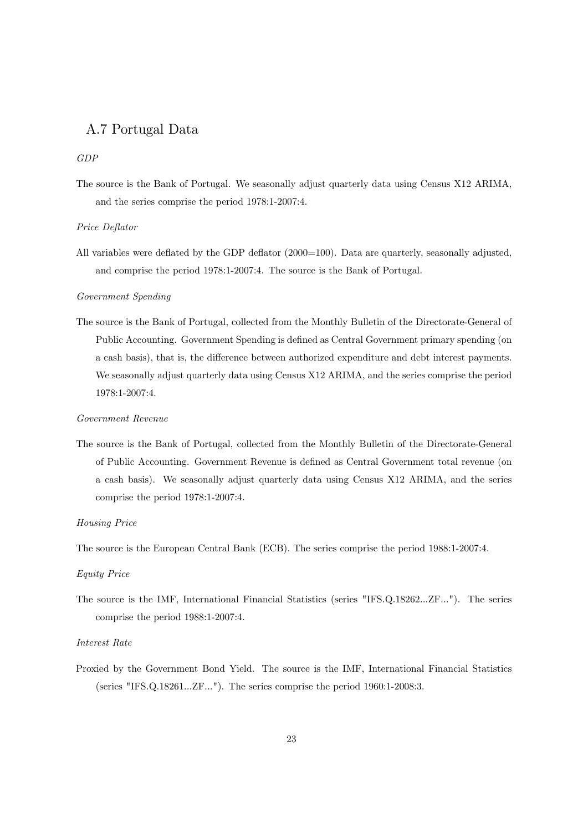## A.7 Portugal Data

#### GDP

The source is the Bank of Portugal. We seasonally adjust quarterly data using Census X12 ARIMA, and the series comprise the period 1978:1-2007:4.

#### Price Deflator

All variables were deflated by the GDP deflator (2000=100). Data are quarterly, seasonally adjusted, and comprise the period 1978:1-2007:4. The source is the Bank of Portugal.

#### Government Spending

The source is the Bank of Portugal, collected from the Monthly Bulletin of the Directorate-General of Public Accounting. Government Spending is defined as Central Government primary spending (on a cash basis), that is, the difference between authorized expenditure and debt interest payments. We seasonally adjust quarterly data using Census X12 ARIMA, and the series comprise the period 1978:1-2007:4.

#### Government Revenue

The source is the Bank of Portugal, collected from the Monthly Bulletin of the Directorate-General of Public Accounting. Government Revenue is deÖned as Central Government total revenue (on a cash basis). We seasonally adjust quarterly data using Census X12 ARIMA, and the series comprise the period 1978:1-2007:4.

#### Housing Price

The source is the European Central Bank (ECB). The series comprise the period 1988:1-2007:4.

#### Equity Price

The source is the IMF, International Financial Statistics (series "IFS.Q.18262...ZF..."). The series comprise the period 1988:1-2007:4.

#### Interest Rate

Proxied by the Government Bond Yield. The source is the IMF, International Financial Statistics (series "IFS.Q.18261...ZF..."). The series comprise the period 1960:1-2008:3.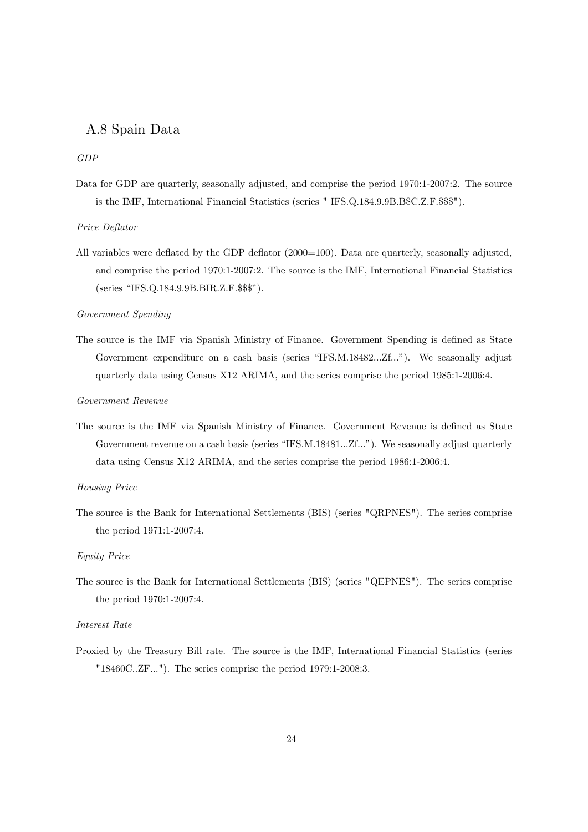## A.8 Spain Data

#### GDP

Data for GDP are quarterly, seasonally adjusted, and comprise the period 1970:1-2007:2. The source is the IMF, International Financial Statistics (series " IFS.Q.184.9.9B.B\$C.Z.F.\$\$\$").

#### Price Deflator

All variables were deflated by the GDP deflator (2000=100). Data are quarterly, seasonally adjusted, and comprise the period 1970:1-2007:2. The source is the IMF, International Financial Statistics (series "IFS.Q.184.9.9B.BIR.Z.F.\$\$\$").

#### Government Spending

The source is the IMF via Spanish Ministry of Finance. Government Spending is defined as State Government expenditure on a cash basis (series "IFS.M.18482...Zf..."). We seasonally adjust quarterly data using Census X12 ARIMA, and the series comprise the period 1985:1-2006:4.

#### Government Revenue

The source is the IMF via Spanish Ministry of Finance. Government Revenue is defined as State Government revenue on a cash basis (series "IFS.M.18481...Zf..."). We seasonally adjust quarterly data using Census X12 ARIMA, and the series comprise the period 1986:1-2006:4.

#### Housing Price

The source is the Bank for International Settlements (BIS) (series "QRPNES"). The series comprise the period 1971:1-2007:4.

#### Equity Price

The source is the Bank for International Settlements (BIS) (series "QEPNES"). The series comprise the period 1970:1-2007:4.

#### Interest Rate

Proxied by the Treasury Bill rate. The source is the IMF, International Financial Statistics (series "18460C..ZF..."). The series comprise the period 1979:1-2008:3.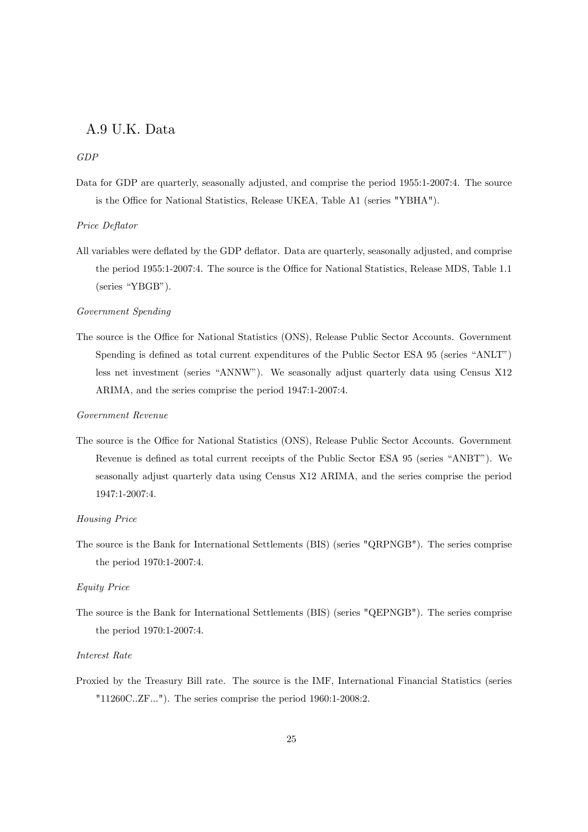## A.9 U.K. Data

#### GDP

Data for GDP are quarterly, seasonally adjusted, and comprise the period 1955:1-2007:4. The source is the Office for National Statistics, Release UKEA, Table A1 (series "YBHA").

#### Price Deflator

All variables were deáated by the GDP deáator. Data are quarterly, seasonally adjusted, and comprise the period 1955:1-2007:4. The source is the Office for National Statistics, Release MDS, Table 1.1  $(series "YBGB").$ 

#### Government Spending

The source is the Office for National Statistics (ONS), Release Public Sector Accounts. Government Spending is defined as total current expenditures of the Public Sector ESA 95 (series "ANLT") less net investment (series "ANNW"). We seasonally adjust quarterly data using Census X12 ARIMA, and the series comprise the period 1947:1-2007:4.

#### Government Revenue

The source is the Office for National Statistics (ONS), Release Public Sector Accounts. Government Revenue is defined as total current receipts of the Public Sector ESA 95 (series "ANBT"). We seasonally adjust quarterly data using Census X12 ARIMA, and the series comprise the period 1947:1-2007:4.

#### Housing Price

The source is the Bank for International Settlements (BIS) (series "QRPNGB"). The series comprise the period 1970:1-2007:4.

#### Equity Price

The source is the Bank for International Settlements (BIS) (series "QEPNGB"). The series comprise the period 1970:1-2007:4.

#### Interest Rate

Proxied by the Treasury Bill rate. The source is the IMF, International Financial Statistics (series "11260C..ZF..."). The series comprise the period 1960:1-2008:2.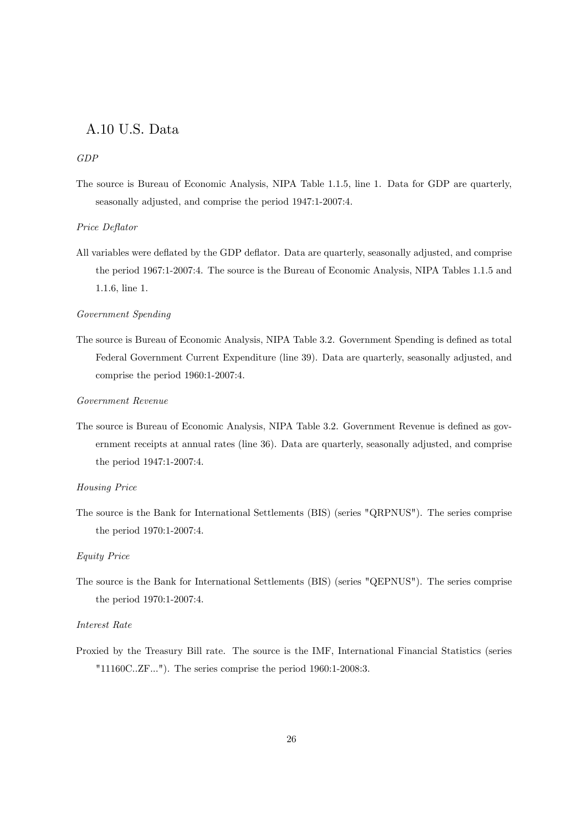## A.10 U.S. Data

#### GDP

The source is Bureau of Economic Analysis, NIPA Table 1.1.5, line 1. Data for GDP are quarterly, seasonally adjusted, and comprise the period 1947:1-2007:4.

#### Price Deflator

All variables were deáated by the GDP deáator. Data are quarterly, seasonally adjusted, and comprise the period 1967:1-2007:4. The source is the Bureau of Economic Analysis, NIPA Tables 1.1.5 and 1.1.6, line 1.

#### Government Spending

The source is Bureau of Economic Analysis, NIPA Table 3.2. Government Spending is defined as total Federal Government Current Expenditure (line 39). Data are quarterly, seasonally adjusted, and comprise the period 1960:1-2007:4.

#### Government Revenue

The source is Bureau of Economic Analysis, NIPA Table 3.2. Government Revenue is defined as government receipts at annual rates (line 36). Data are quarterly, seasonally adjusted, and comprise the period 1947:1-2007:4.

#### Housing Price

The source is the Bank for International Settlements (BIS) (series "QRPNUS"). The series comprise the period 1970:1-2007:4.

#### Equity Price

The source is the Bank for International Settlements (BIS) (series "QEPNUS"). The series comprise the period 1970:1-2007:4.

#### Interest Rate

Proxied by the Treasury Bill rate. The source is the IMF, International Financial Statistics (series "11160C..ZF..."). The series comprise the period 1960:1-2008:3.